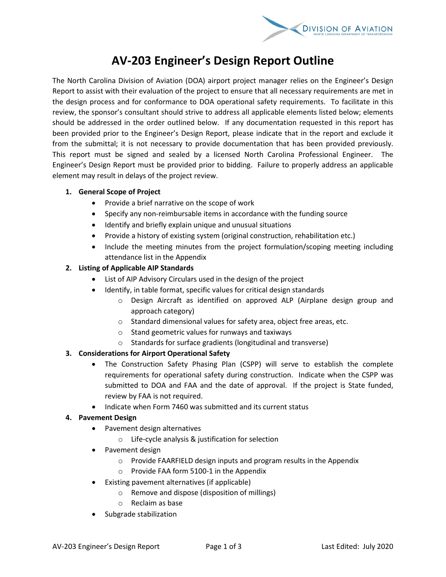

# **AV-203 Engineer's Design Report Outline**

The North Carolina Division of Aviation (DOA) airport project manager relies on the Engineer's Design Report to assist with their evaluation of the project to ensure that all necessary requirements are met in the design process and for conformance to DOA operational safety requirements. To facilitate in this review, the sponsor's consultant should strive to address all applicable elements listed below; elements should be addressed in the order outlined below. If any documentation requested in this report has been provided prior to the Engineer's Design Report, please indicate that in the report and exclude it from the submittal; it is not necessary to provide documentation that has been provided previously. This report must be signed and sealed by a licensed North Carolina Professional Engineer. The Engineer's Design Report must be provided prior to bidding. Failure to properly address an applicable element may result in delays of the project review.

#### **1. General Scope of Project**

- Provide a brief narrative on the scope of work
- Specify any non-reimbursable items in accordance with the funding source
- Identify and briefly explain unique and unusual situations
- Provide a history of existing system (original construction, rehabilitation etc.)
- Include the meeting minutes from the project formulation/scoping meeting including attendance list in the Appendix

# **2. Listing of Applicable AIP Standards**

- List of AIP Advisory Circulars used in the design of the project
- Identify, in table format, specific values for critical design standards
	- o Design Aircraft as identified on approved ALP (Airplane design group and approach category)
	- o Standard dimensional values for safety area, object free areas, etc.
	- o Stand geometric values for runways and taxiways
	- o Standards for surface gradients (longitudinal and transverse)

# **3. Considerations for Airport Operational Safety**

- The Construction Safety Phasing Plan (CSPP) will serve to establish the complete requirements for operational safety during construction. Indicate when the CSPP was submitted to DOA and FAA and the date of approval. If the project is State funded, review by FAA is not required.
- Indicate when Form 7460 was submitted and its current status

#### **4. Pavement Design**

- Pavement design alternatives
	- o Life-cycle analysis & justification for selection
- Pavement design
	- o Provide FAARFIELD design inputs and program results in the Appendix
	- o Provide FAA form 5100-1 in the Appendix
- Existing pavement alternatives (if applicable)
	- o Remove and dispose (disposition of millings)
	- o Reclaim as base
- Subgrade stabilization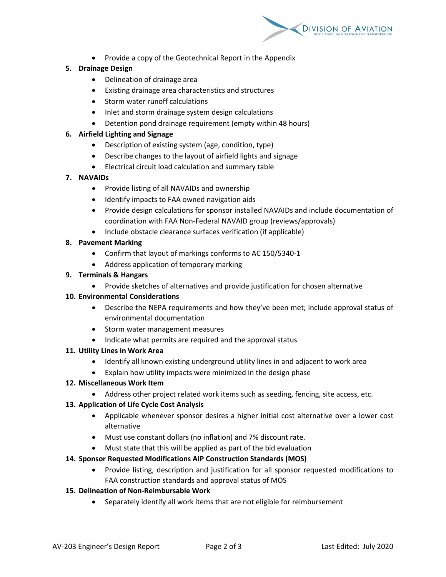

• Provide a copy of the Geotechnical Report in the Appendix

## **5. Drainage Design**

- Delineation of drainage area
- Existing drainage area characteristics and structures
- Storm water runoff calculations
- Inlet and storm drainage system design calculations
- Detention pond drainage requirement (empty within 48 hours)

## **6. Airfield Lighting and Signage**

- Description of existing system (age, condition, type)
- Describe changes to the layout of airfield lights and signage
- Electrical circuit load calculation and summary table

#### **7. NAVAIDs**

- Provide listing of all NAVAIDs and ownership
- Identify impacts to FAA owned navigation aids
- Provide design calculations for sponsor installed NAVAIDs and include documentation of coordination with FAA Non-Federal NAVAID group (reviews/approvals)
- Include obstacle clearance surfaces verification (if applicable)

# **8. Pavement Marking**

- Confirm that layout of markings conforms to AC 150/5340-1
- Address application of temporary marking

#### **9. Terminals & Hangars**

• Provide sketches of alternatives and provide justification for chosen alternative

#### **10. Environmental Considerations**

- Describe the NEPA requirements and how they've been met; include approval status of environmental documentation
- Storm water management measures
- Indicate what permits are required and the approval status

#### **11. Utility Lines in Work Area**

- Identify all known existing underground utility lines in and adjacent to work area
- Explain how utility impacts were minimized in the design phase

#### **12. Miscellaneous Work Item**

• Address other project related work items such as seeding, fencing, site access, etc.

#### **13. Application of Life Cycle Cost Analysis**

- Applicable whenever sponsor desires a higher initial cost alternative over a lower cost alternative
- Must use constant dollars (no inflation) and 7% discount rate.
- Must state that this will be applied as part of the bid evaluation

# **14. Sponsor Requested Modifications AIP Construction Standards (MOS)**

• Provide listing, description and justification for all sponsor requested modifications to FAA construction standards and approval status of MOS

#### **15. Delineation of Non-Reimbursable Work**

• Separately identify all work items that are not eligible for reimbursement